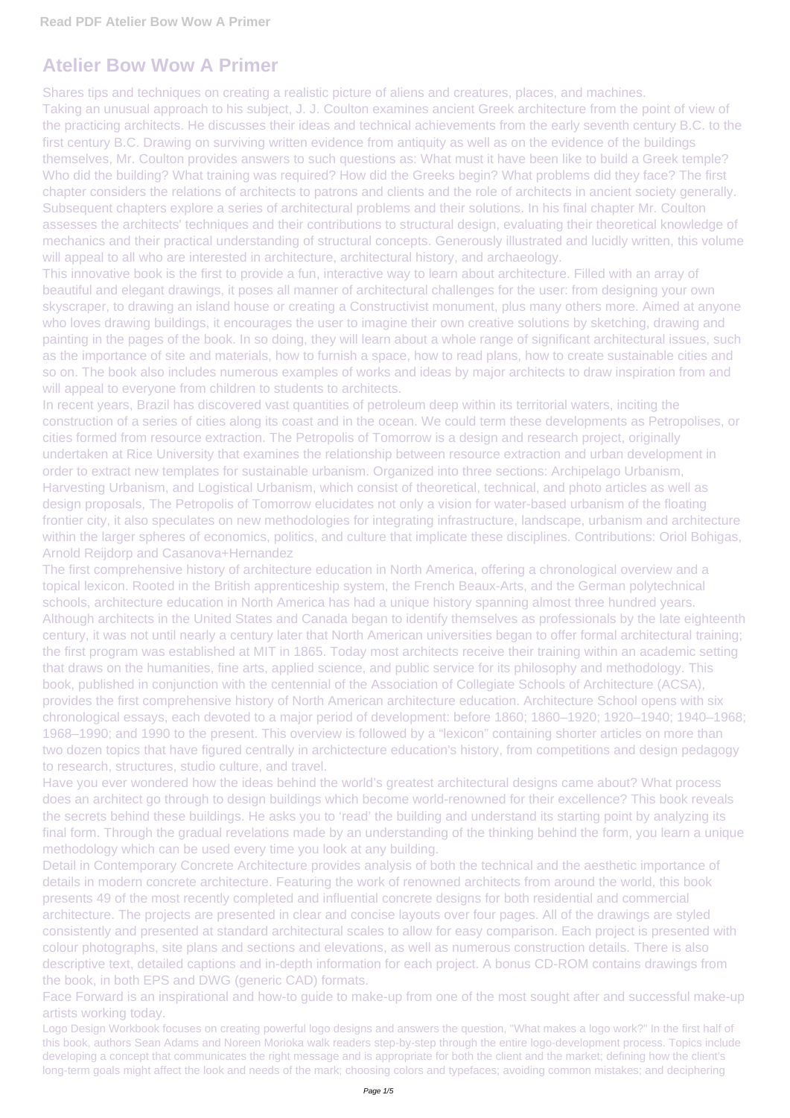## **Atelier Bow Wow A Primer**

Taking an unusual approach to his subject, J. J. Coulton examines ancient Greek architecture from the point of view of the practicing architects. He discusses their ideas and technical achievements from the early seventh century B.C. to the first century B.C. Drawing on surviving written evidence from antiquity as well as on the evidence of the buildings themselves, Mr. Coulton provides answers to such questions as: What must it have been like to build a Greek temple? Who did the building? What training was required? How did the Greeks begin? What problems did they face? The first chapter considers the relations of architects to patrons and clients and the role of architects in ancient society generally. Subsequent chapters explore a series of architectural problems and their solutions. In his final chapter Mr. Coulton assesses the architects' techniques and their contributions to structural design, evaluating their theoretical knowledge of mechanics and their practical understanding of structural concepts. Generously illustrated and lucidly written, this volume will appeal to all who are interested in architecture, architectural history, and archaeology.

Shares tips and techniques on creating a realistic picture of aliens and creatures, places, and machines.

This innovative book is the first to provide a fun, interactive way to learn about architecture. Filled with an array of beautiful and elegant drawings, it poses all manner of architectural challenges for the user: from designing your own skyscraper, to drawing an island house or creating a Constructivist monument, plus many others more. Aimed at anyone who loves drawing buildings, it encourages the user to imagine their own creative solutions by sketching, drawing and painting in the pages of the book. In so doing, they will learn about a whole range of significant architectural issues, such as the importance of site and materials, how to furnish a space, how to read plans, how to create sustainable cities and so on. The book also includes numerous examples of works and ideas by major architects to draw inspiration from and will appeal to everyone from children to students to architects.

In recent years, Brazil has discovered vast quantities of petroleum deep within its territorial waters, inciting the construction of a series of cities along its coast and in the ocean. We could term these developments as Petropolises, or cities formed from resource extraction. The Petropolis of Tomorrow is a design and research project, originally undertaken at Rice University that examines the relationship between resource extraction and urban development in order to extract new templates for sustainable urbanism. Organized into three sections: Archipelago Urbanism, Harvesting Urbanism, and Logistical Urbanism, which consist of theoretical, technical, and photo articles as well as design proposals, The Petropolis of Tomorrow elucidates not only a vision for water-based urbanism of the floating frontier city, it also speculates on new methodologies for integrating infrastructure, landscape, urbanism and architecture within the larger spheres of economics, politics, and culture that implicate these disciplines. Contributions: Oriol Bohigas, Arnold Reijdorp and Casanova+Hernandez

The first comprehensive history of architecture education in North America, offering a chronological overview and a topical lexicon. Rooted in the British apprenticeship system, the French Beaux-Arts, and the German polytechnical schools, architecture education in North America has had a unique history spanning almost three hundred years. Although architects in the United States and Canada began to identify themselves as professionals by the late eighteenth century, it was not until nearly a century later that North American universities began to offer formal architectural training; the first program was established at MIT in 1865. Today most architects receive their training within an academic setting that draws on the humanities, fine arts, applied science, and public service for its philosophy and methodology. This book, published in conjunction with the centennial of the Association of Collegiate Schools of Architecture (ACSA), provides the first comprehensive history of North American architecture education. Architecture School opens with six chronological essays, each devoted to a major period of development: before 1860; 1860–1920; 1920–1940; 1940–1968; 1968–1990; and 1990 to the present. This overview is followed by a "lexicon" containing shorter articles on more than two dozen topics that have figured centrally in archictecture education's history, from competitions and design pedagogy to research, structures, studio culture, and travel.

Have you ever wondered how the ideas behind the world's greatest architectural designs came about? What process does an architect go through to design buildings which become world-renowned for their excellence? This book reveals the secrets behind these buildings. He asks you to 'read' the building and understand its starting point by analyzing its final form. Through the gradual revelations made by an understanding of the thinking behind the form, you learn a unique methodology which can be used every time you look at any building. Detail in Contemporary Concrete Architecture provides analysis of both the technical and the aesthetic importance of details in modern concrete architecture. Featuring the work of renowned architects from around the world, this book presents 49 of the most recently completed and influential concrete designs for both residential and commercial architecture. The projects are presented in clear and concise layouts over four pages. All of the drawings are styled consistently and presented at standard architectural scales to allow for easy comparison. Each project is presented with colour photographs, site plans and sections and elevations, as well as numerous construction details. There is also descriptive text, detailed captions and in-depth information for each project. A bonus CD-ROM contains drawings from the book, in both EPS and DWG (generic CAD) formats.

Face Forward is an inspirational and how-to guide to make-up from one of the most sought after and successful make-up artists working today.

Logo Design Workbook focuses on creating powerful logo designs and answers the question, "What makes a logo work?" In the first half of this book, authors Sean Adams and Noreen Morioka walk readers step-by-step through the entire logo-development process. Topics include developing a concept that communicates the right message and is appropriate for both the client and the market; defining how the client's long-term goals might affect the look and needs of the mark; choosing colors and typefaces; avoiding common mistakes; and deciphering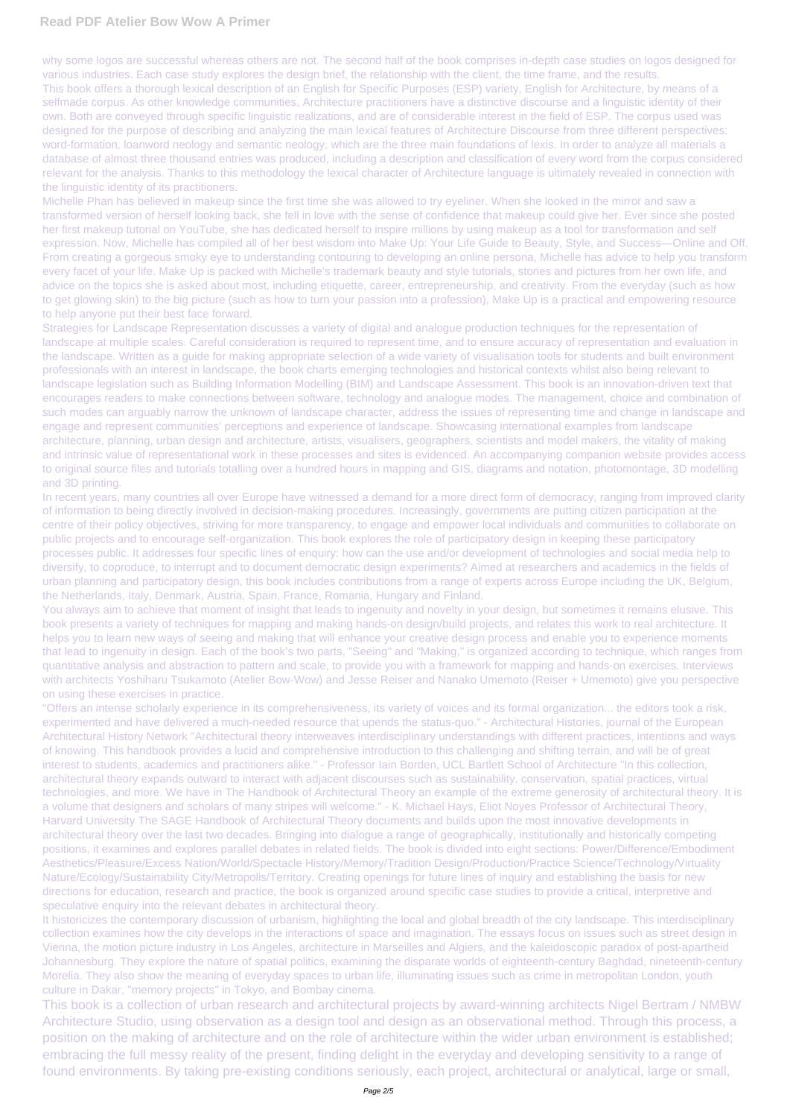## **Read PDF Atelier Bow Wow A Primer**

why some logos are successful whereas others are not. The second half of the book comprises in-depth case studies on logos designed for various industries. Each case study explores the design brief, the relationship with the client, the time frame, and the results. This book offers a thorough lexical description of an English for Specific Purposes (ESP) variety, English for Architecture, by means of a selfmade corpus. As other knowledge communities, Architecture practitioners have a distinctive discourse and a linguistic identity of their own. Both are conveyed through specific linguistic realizations, and are of considerable interest in the field of ESP. The corpus used was designed for the purpose of describing and analyzing the main lexical features of Architecture Discourse from three different perspectives: word-formation, loanword neology and semantic neology, which are the three main foundations of lexis. In order to analyze all materials a database of almost three thousand entries was produced, including a description and classification of every word from the corpus considered relevant for the analysis. Thanks to this methodology the lexical character of Architecture language is ultimately revealed in connection with the linguistic identity of its practitioners.

Michelle Phan has believed in makeup since the first time she was allowed to try eyeliner. When she looked in the mirror and saw a transformed version of herself looking back, she fell in love with the sense of confidence that makeup could give her. Ever since she posted her first makeup tutorial on YouTube, she has dedicated herself to inspire millions by using makeup as a tool for transformation and self expression. Now, Michelle has compiled all of her best wisdom into Make Up: Your Life Guide to Beauty, Style, and Success—Online and Off. From creating a gorgeous smoky eye to understanding contouring to developing an online persona, Michelle has advice to help you transform every facet of your life. Make Up is packed with Michelle's trademark beauty and style tutorials, stories and pictures from her own life, and advice on the topics she is asked about most, including etiquette, career, entrepreneurship, and creativity. From the everyday (such as how to get glowing skin) to the big picture (such as how to turn your passion into a profession), Make Up is a practical and empowering resource to help anyone put their best face forward.

In recent years, many countries all over Europe have witnessed a demand for a more direct form of democracy, ranging from improved clarity of information to being directly involved in decision-making procedures. Increasingly, governments are putting citizen participation at the centre of their policy objectives, striving for more transparency, to engage and empower local individuals and communities to collaborate on public projects and to encourage self-organization. This book explores the role of participatory design in keeping these participatory processes public. It addresses four specific lines of enquiry: how can the use and/or development of technologies and social media help to diversify, to coproduce, to interrupt and to document democratic design experiments? Aimed at researchers and academics in the fields of urban planning and participatory design, this book includes contributions from a range of experts across Europe including the UK, Belgium, the Netherlands, Italy, Denmark, Austria, Spain, France, Romania, Hungary and Finland.

Strategies for Landscape Representation discusses a variety of digital and analogue production techniques for the representation of landscape at multiple scales. Careful consideration is required to represent time, and to ensure accuracy of representation and evaluation in the landscape. Written as a guide for making appropriate selection of a wide variety of visualisation tools for students and built environment professionals with an interest in landscape, the book charts emerging technologies and historical contexts whilst also being relevant to landscape legislation such as Building Information Modelling (BIM) and Landscape Assessment. This book is an innovation-driven text that encourages readers to make connections between software, technology and analogue modes. The management, choice and combination of such modes can arguably narrow the unknown of landscape character, address the issues of representing time and change in landscape and engage and represent communities' perceptions and experience of landscape. Showcasing international examples from landscape architecture, planning, urban design and architecture, artists, visualisers, geographers, scientists and model makers, the vitality of making and intrinsic value of representational work in these processes and sites is evidenced. An accompanying companion website provides access to original source files and tutorials totalling over a hundred hours in mapping and GIS, diagrams and notation, photomontage, 3D modelling and 3D printing.

You always aim to achieve that moment of insight that leads to ingenuity and novelty in your design, but sometimes it remains elusive. This book presents a variety of techniques for mapping and making hands-on design/build projects, and relates this work to real architecture. It helps you to learn new ways of seeing and making that will enhance your creative design process and enable you to experience moments that lead to ingenuity in design. Each of the book's two parts, "Seeing" and "Making," is organized according to technique, which ranges from quantitative analysis and abstraction to pattern and scale, to provide you with a framework for mapping and hands-on exercises. Interviews with architects Yoshiharu Tsukamoto (Atelier Bow-Wow) and Jesse Reiser and Nanako Umemoto (Reiser + Umemoto) give you perspective on using these exercises in practice.

"Offers an intense scholarly experience in its comprehensiveness, its variety of voices and its formal organization... the editors took a risk, experimented and have delivered a much-needed resource that upends the status-quo." - Architectural Histories, journal of the European Architectural History Network "Architectural theory interweaves interdisciplinary understandings with different practices, intentions and ways of knowing. This handbook provides a lucid and comprehensive introduction to this challenging and shifting terrain, and will be of great interest to students, academics and practitioners alike." - Professor Iain Borden, UCL Bartlett School of Architecture "In this collection, architectural theory expands outward to interact with adjacent discourses such as sustainability, conservation, spatial practices, virtual technologies, and more. We have in The Handbook of Architectural Theory an example of the extreme generosity of architectural theory. It is a volume that designers and scholars of many stripes will welcome." - K. Michael Hays, Eliot Noyes Professor of Architectural Theory, Harvard University The SAGE Handbook of Architectural Theory documents and builds upon the most innovative developments in architectural theory over the last two decades. Bringing into dialogue a range of geographically, institutionally and historically competing

positions, it examines and explores parallel debates in related fields. The book is divided into eight sections: Power/Difference/Embodiment Aesthetics/Pleasure/Excess Nation/World/Spectacle History/Memory/Tradition Design/Production/Practice Science/Technology/Virtuality Nature/Ecology/Sustainability City/Metropolis/Territory. Creating openings for future lines of inquiry and establishing the basis for new directions for education, research and practice, the book is organized around specific case studies to provide a critical, interpretive and speculative enquiry into the relevant debates in architectural theory.

It historicizes the contemporary discussion of urbanism, highlighting the local and global breadth of the city landscape. This interdisciplinary collection examines how the city develops in the interactions of space and imagination. The essays focus on issues such as street design in Vienna, the motion picture industry in Los Angeles, architecture in Marseilles and Algiers, and the kaleidoscopic paradox of post-apartheid Johannesburg. They explore the nature of spatial politics, examining the disparate worlds of eighteenth-century Baghdad, nineteenth-century Morelia. They also show the meaning of everyday spaces to urban life, illuminating issues such as crime in metropolitan London, youth culture in Dakar, "memory projects" in Tokyo, and Bombay cinema.

This book is a collection of urban research and architectural projects by award-winning architects Nigel Bertram / NMBW Architecture Studio, using observation as a design tool and design as an observational method. Through this process, a position on the making of architecture and on the role of architecture within the wider urban environment is established; embracing the full messy reality of the present, finding delight in the everyday and developing sensitivity to a range of found environments. By taking pre-existing conditions seriously, each project, architectural or analytical, large or small,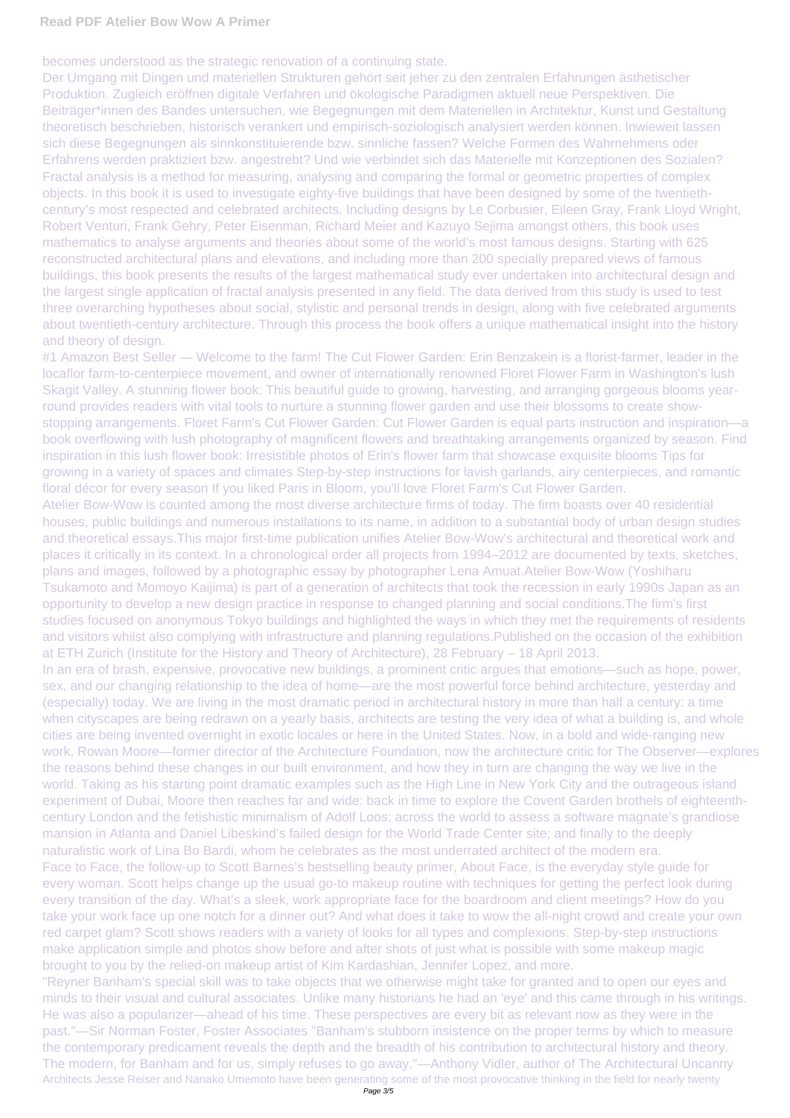becomes understood as the strategic renovation of a continuing state.

Der Umgang mit Dingen und materiellen Strukturen gehört seit jeher zu den zentralen Erfahrungen ästhetischer Produktion. Zugleich eröffnen digitale Verfahren und ökologische Paradigmen aktuell neue Perspektiven. Die Beiträger\*innen des Bandes untersuchen, wie Begegnungen mit dem Materiellen in Architektur, Kunst und Gestaltung theoretisch beschrieben, historisch verankert und empirisch-soziologisch analysiert werden können. Inwieweit lassen sich diese Begegnungen als sinnkonstituierende bzw. sinnliche fassen? Welche Formen des Wahrnehmens oder Erfahrens werden praktiziert bzw. angestrebt? Und wie verbindet sich das Materielle mit Konzeptionen des Sozialen? Fractal analysis is a method for measuring, analysing and comparing the formal or geometric properties of complex objects. In this book it is used to investigate eighty-five buildings that have been designed by some of the twentiethcentury's most respected and celebrated architects. Including designs by Le Corbusier, Eileen Gray, Frank Lloyd Wright, Robert Venturi, Frank Gehry, Peter Eisenman, Richard Meier and Kazuyo Sejima amongst others, this book uses mathematics to analyse arguments and theories about some of the world's most famous designs. Starting with 625 reconstructed architectural plans and elevations, and including more than 200 specially prepared views of famous buildings, this book presents the results of the largest mathematical study ever undertaken into architectural design and the largest single application of fractal analysis presented in any field. The data derived from this study is used to test three overarching hypotheses about social, stylistic and personal trends in design, along with five celebrated arguments about twentieth-century architecture. Through this process the book offers a unique mathematical insight into the history and theory of design.

#1 Amazon Best Seller — Welcome to the farm! The Cut Flower Garden: Erin Benzakein is a florist-farmer, leader in the locaflor farm-to-centerpiece movement, and owner of internationally renowned Floret Flower Farm in Washington's lush Skagit Valley. A stunning flower book: This beautiful guide to growing, harvesting, and arranging gorgeous blooms yearround provides readers with vital tools to nurture a stunning flower garden and use their blossoms to create showstopping arrangements. Floret Farm's Cut Flower Garden: Cut Flower Garden is equal parts instruction and inspiration—a book overflowing with lush photography of magnificent flowers and breathtaking arrangements organized by season. Find inspiration in this lush flower book: Irresistible photos of Erin's flower farm that showcase exquisite blooms Tips for growing in a variety of spaces and climates Step-by-step instructions for lavish garlands, airy centerpieces, and romantic floral décor for every season If you liked Paris in Bloom, you'll love Floret Farm's Cut Flower Garden. Atelier Bow-Wow is counted among the most diverse architecture firms of today. The firm boasts over 40 residential houses, public buildings and numerous installations to its name, in addition to a substantial body of urban design studies and theoretical essays.This major first-time publication unifies Atelier Bow-Wow's architectural and theoretical work and places it critically in its context. In a chronological order all projects from 1994–2012 are documented by texts, sketches, plans and images, followed by a photographic essay by photographer Lena Amuat.Atelier Bow-Wow (Yoshiharu Tsukamoto and Momoyo Kaijima) is part of a generation of architects that took the recession in early 1990s Japan as an opportunity to develop a new design practice in response to changed planning and social conditions.The firm's first studies focused on anonymous Tokyo buildings and highlighted the ways in which they met the requirements of residents and visitors whilst also complying with infrastructure and planning regulations.Published on the occasion of the exhibition at ETH Zurich (Institute for the History and Theory of Architecture), 28 February – 18 April 2013. In an era of brash, expensive, provocative new buildings, a prominent critic argues that emotions—such as hope, power, sex, and our changing relationship to the idea of home—are the most powerful force behind architecture, yesterday and (especially) today. We are living in the most dramatic period in architectural history in more than half a century: a time when cityscapes are being redrawn on a yearly basis, architects are testing the very idea of what a building is, and whole cities are being invented overnight in exotic locales or here in the United States. Now, in a bold and wide-ranging new work, Rowan Moore—former director of the Architecture Foundation, now the architecture critic for The Observer—explores the reasons behind these changes in our built environment, and how they in turn are changing the way we live in the world. Taking as his starting point dramatic examples such as the High Line in New York City and the outrageous island experiment of Dubai, Moore then reaches far and wide: back in time to explore the Covent Garden brothels of eighteenthcentury London and the fetishistic minimalism of Adolf Loos; across the world to assess a software magnate's grandiose

mansion in Atlanta and Daniel Libeskind's failed design for the World Trade Center site; and finally to the deeply

naturalistic work of Lina Bo Bardi, whom he celebrates as the most underrated architect of the modern era. Face to Face, the follow-up to Scott Barnes's bestselling beauty primer, About Face, is the everyday style guide for every woman. Scott helps change up the usual go-to makeup routine with techniques for getting the perfect look during every transition of the day. What's a sleek, work appropriate face for the boardroom and client meetings? How do you take your work face up one notch for a dinner out? And what does it take to wow the all-night crowd and create your own red carpet glam? Scott shows readers with a variety of looks for all types and complexions. Step-by-step instructions make application simple and photos show before and after shots of just what is possible with some makeup magic brought to you by the relied-on makeup artist of Kim Kardashian, Jennifer Lopez, and more. "Reyner Banham's special skill was to take objects that we otherwise might take for granted and to open our eyes and minds to their visual and cultural associates. Unlike many historians he had an 'eye' and this came through in his writings. He was also a popularizer—ahead of his time. These perspectives are every bit as relevant now as they were in the past."—Sir Norman Foster, Foster Associates "Banham's stubborn insistence on the proper terms by which to measure the contemporary predicament reveals the depth and the breadth of his contribution to architectural history and theory. The modern, for Banham and for us, simply refuses to go away."—Anthony Vidler, author of The Architectural Uncanny Architects Jesse Reiser and Nanako Umemoto have been generating some of the most provocative thinking in the field for nearly twenty Page 3/5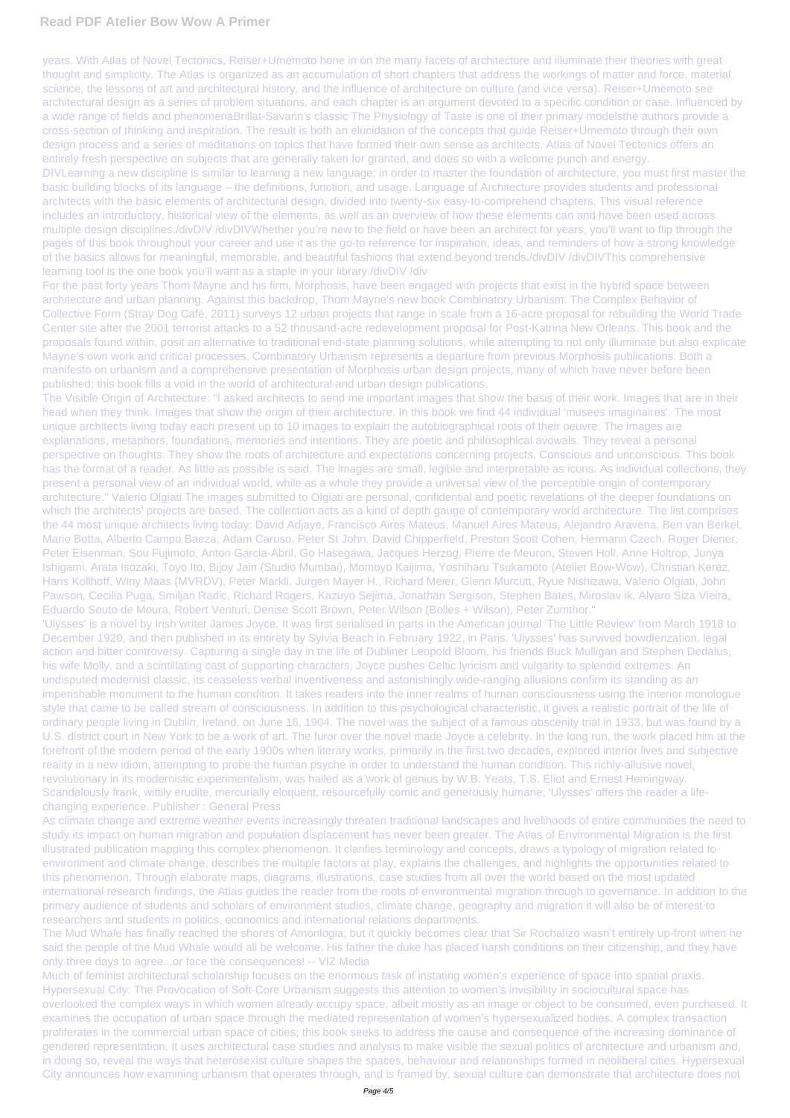## **Read PDF Atelier Bow Wow A Primer**

years. With Atlas of Novel Tectonics, Reiser+Umemoto hone in on the many facets of architecture and illuminate their theories with great thought and simplicity. The Atlas is organized as an accumulation of short chapters that address the workings of matter and force, material science, the lessons of art and architectural history, and the influence of architecture on culture (and vice versa). Reiser+Umemoto see architectural design as a series of problem situations, and each chapter is an argument devoted to a specific condition or case. Influenced by a wide range of fields and phenomenaBrillat-Savarin's classic The Physiology of Taste is one of their primary modelsthe authors provide a cross-section of thinking and inspiration. The result is both an elucidation of the concepts that guide Reiser+Umemoto through their own design process and a series of meditations on topics that have formed their own sense as architects. Atlas of Novel Tectonics offers an entirely fresh perspective on subjects that are generally taken for granted, and does so with a welcome punch and energy. DIVLearning a new discipline is similar to learning a new language; in order to master the foundation of architecture, you must first master the basic building blocks of its language – the definitions, function, and usage. Language of Architecture provides students and professional architects with the basic elements of architectural design, divided into twenty-six easy-to-comprehend chapters. This visual reference includes an introductory, historical view of the elements, as well as an overview of how these elements can and have been used across

multiple design disciplines./divDIV /divDIVWhether you're new to the field or have been an architect for years, you'll want to flip through the pages of this book throughout your career and use it as the go-to reference for inspiration, ideas, and reminders of how a strong knowledge of the basics allows for meaningful, memorable, and beautiful fashions that extend beyond trends./divDIV /divDIVThis comprehensive learning tool is the one book you'll want as a staple in your library./divDIV /div

For the past forty years Thom Mayne and his firm, Morphosis, have been engaged with projects that exist in the hybrid space between architecture and urban planning. Against this backdrop, Thom Mayne's new book Combinatory Urbanism: The Complex Behavior of Collective Form (Stray Dog Café, 2011) surveys 12 urban projects that range in scale from a 16-acre proposal for rebuilding the World Trade Center site after the 2001 terrorist attacks to a 52 thousand-acre redevelopment proposal for Post-Katrina New Orleans. This book and the proposals found within, posit an alternative to traditional end-state planning solutions, while attempting to not only illuminate but also explicate Mayne's own work and critical processes. Combinatory Urbanism represents a departure from previous Morphosis publications. Both a manifesto on urbanism and a comprehensive presentation of Morphosis urban design projects, many of which have never before been published; this book fills a void in the world of architectural and urban design publications.

The Visible Origin of Architecture: "I asked architects to send me important images that show the basis of their work. Images that are in their head when they think. Images that show the origin of their architecture. In this book we find 44 individual 'musees imaginaires'. The most unique architects living today each present up to 10 images to explain the autobiographical roots of their oeuvre. The images are explanations, metaphors, foundations, memories and intentions. They are poetic and philosophical avowals. They reveal a personal perspective on thoughts. They show the roots of architecture and expectations concerning projects. Conscious and unconscious. This book has the format of a reader. As little as possible is said. The images are small, legible and interpretable as icons. As individual collections, they present a personal view of an individual world, while as a whole they provide a universal view of the perceptible origin of contemporary architecture." Valerio Olgiati The images submitted to Olgiati are personal, confidential and poetic revelations of the deeper foundations on which the architects' projects are based. The collection acts as a kind of depth gauge of contemporary world architecture. The list comprises the 44 most unique architects living today: David Adjaye, Francisco Aires Mateus, Manuel Aires Mateus, Alejandro Aravena, Ben van Berkel, Mario Botta, Alberto Campo Baeza, Adam Caruso, Peter St John, David Chipperfield, Preston Scott Cohen, Hermann Czech, Roger Diener, Peter Eisenman, Sou Fujimoto, Anton Garcia-Abril, Go Hasegawa, Jacques Herzog, Pierre de Meuron, Steven Holl, Anne Holtrop, Junya Ishigami, Arata Isozaki, Toyo Ito, Bijoy Jain (Studio Mumbai), Momoyo Kaijima, Yoshiharu Tsukamoto (Atelier Bow-Wow), Christian Kerez, Hans Kollhoff, Winy Maas (MVRDV), Peter Markli, Jurgen Mayer H., Richard Meier, Glenn Murcutt, Ryue Nishizawa, Valerio Olgiati, John Pawson, Cecilia Puga, Smiljan Radic, Richard Rogers, Kazuyo Sejima, Jonathan Sergison, Stephen Bates, Miroslav ik, Alvaro Siza Vieira, Eduardo Souto de Moura, Robert Venturi, Denise Scott Brown, Peter Wilson (Bolles + Wilson), Peter Zumthor."

'Ulysses' is a novel by Irish writer James Joyce. It was first serialised in parts in the American journal 'The Little Review' from March 1918 to December 1920, and then published in its entirety by Sylvia Beach in February 1922, in Paris. 'Ulysses' has survived bowdlerization, legal action and bitter controversy. Capturing a single day in the life of Dubliner Leopold Bloom, his friends Buck Mulligan and Stephen Dedalus, his wife Molly, and a scintillating cast of supporting characters, Joyce pushes Celtic lyricism and vulgarity to splendid extremes. An undisputed modernist classic, its ceaseless verbal inventiveness and astonishingly wide-ranging allusions confirm its standing as an imperishable monument to the human condition. It takes readers into the inner realms of human consciousness using the interior monologue style that came to be called stream of consciousness. In addition to this psychological characteristic, it gives a realistic portrait of the life of ordinary people living in Dublin, Ireland, on June 16, 1904. The novel was the subject of a famous obscenity trial in 1933, but was found by a U.S. district court in New York to be a work of art. The furor over the novel made Joyce a celebrity. In the long run, the work placed him at the forefront of the modern period of the early 1900s when literary works, primarily in the first two decades, explored interior lives and subjective reality in a new idiom, attempting to probe the human psyche in order to understand the human condition. This richly-allusive novel, revolutionary in its modernistic experimentalism, was hailed as a work of genius by W.B. Yeats, T.S. Eliot and Ernest Hemingway. Scandalously frank, wittily erudite, mercurially eloquent, resourcefully comic and generously humane, 'Ulysses' offers the reader a lifechanging experience. Publisher : General Press

As climate change and extreme weather events increasingly threaten traditional landscapes and livelihoods of entire communities the need to study its impact on human migration and population displacement has never been greater. The Atlas of Environmental Migration is the first

illustrated publication mapping this complex phenomenon. It clarifies terminology and concepts, draws a typology of migration related to environment and climate change, describes the multiple factors at play, explains the challenges, and highlights the opportunities related to this phenomenon. Through elaborate maps, diagrams, illustrations, case studies from all over the world based on the most updated international research findings, the Atlas guides the reader from the roots of environmental migration through to governance. In addition to the primary audience of students and scholars of environment studies, climate change, geography and migration it will also be of interest to researchers and students in politics, economics and international relations departments.

The Mud Whale has finally reached the shores of Amonlogia, but it quickly becomes clear that Sir Rochalízo wasn't entirely up-front when he said the people of the Mud Whale would all be welcome. His father the duke has placed harsh conditions on their citizenship, and they have only three days to agree...or face the consequences! -- VIZ Media

Much of feminist architectural scholarship focuses on the enormous task of instating women's experience of space into spatial praxis. Hypersexual City: The Provocation of Soft-Core Urbanism suggests this attention to women's invisibility in sociocultural space has overlooked the complex ways in which women already occupy space, albeit mostly as an image or object to be consumed, even purchased. It examines the occupation of urban space through the mediated representation of women's hypersexualized bodies. A complex transaction proliferates in the commercial urban space of cities; this book seeks to address the cause and consequence of the increasing dominance of gendered representation. It uses architectural case studies and analysis to make visible the sexual politics of architecture and urbanism and, in doing so, reveal the ways that heterosexist culture shapes the spaces, behaviour and relationships formed in neoliberal cities. Hypersexual City announces how examining urbanism that operates through, and is framed by, sexual culture can demonstrate that architecture does not